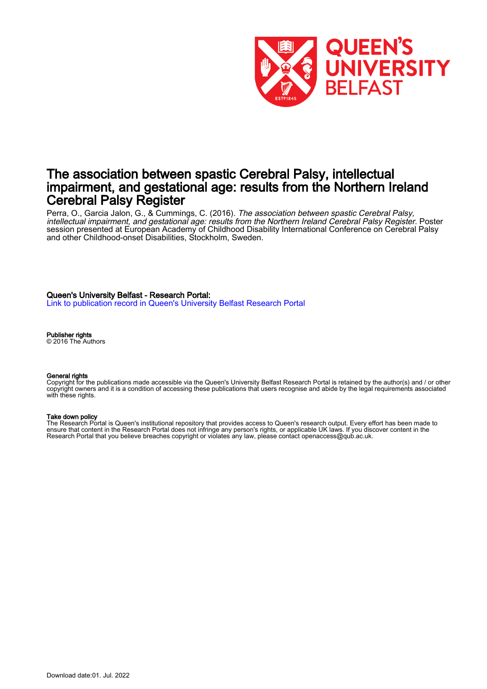

# The association between spastic Cerebral Palsy, intellectual impairment, and gestational age: results from the Northern Ireland Cerebral Palsy Register

Perra, O., Garcia Jalon, G., & Cummings, C. (2016). *The association between spastic Cerebral Palsy,* intellectual impairment, and gestational age: results from the Northern Ireland Cerebral Palsy Register. Poster session presented at European Academy of Childhood Disability International Conference on Cerebral Palsy and other Childhood-onset Disabilities, Stockholm, Sweden.

### Queen's University Belfast - Research Portal:

[Link to publication record in Queen's University Belfast Research Portal](https://pure.qub.ac.uk/en/publications/f9c2f071-722d-4e9c-bc17-e2e8c2643bc1)

Publisher rights

© 2016 The Authors

#### General rights

Copyright for the publications made accessible via the Queen's University Belfast Research Portal is retained by the author(s) and / or other copyright owners and it is a condition of accessing these publications that users recognise and abide by the legal requirements associated with these rights.

#### Take down policy

The Research Portal is Queen's institutional repository that provides access to Queen's research output. Every effort has been made to ensure that content in the Research Portal does not infringe any person's rights, or applicable UK laws. If you discover content in the Research Portal that you believe breaches copyright or violates any law, please contact openaccess@qub.ac.uk.